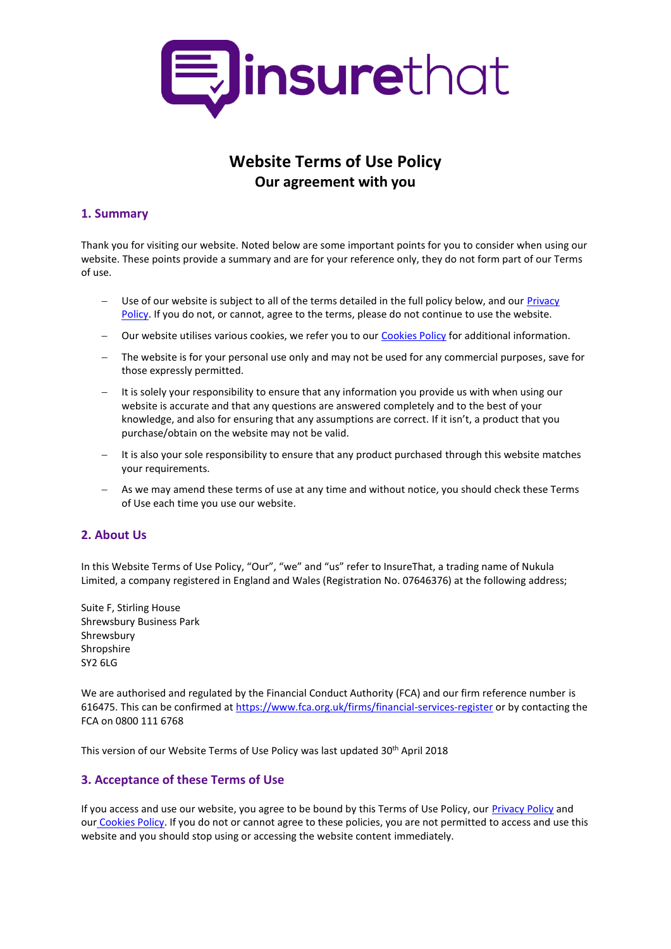

# **Website Terms of Use Policy Our agreement with you**

### **1. Summary**

Thank you for visiting our website. Noted below are some important points for you to consider when using our website. These points provide a summary and are for your reference only, they do not form part of our Terms of use.

- Use of our website is subject to all of the terms detailed in the full policy below, and ou[r Privacy](https://www.insurethat.com/resource/static/pdf/policies/privacy.pdf)  [Policy.](https://www.insurethat.com/resource/static/pdf/policies/privacy.pdf) If you do not, or cannot, agree to the terms, please do not continue to use the website.
- Our website utilises various cookies, we refer you to ou[r Cookies Policy](https://www.insurethat.com/resource/static/pdf/policies/cookies.pdf) for additional information.
- The website is for your personal use only and may not be used for any commercial purposes, save for those expressly permitted.
- It is solely your responsibility to ensure that any information you provide us with when using our website is accurate and that any questions are answered completely and to the best of your knowledge, and also for ensuring that any assumptions are correct. If it isn't, a product that you purchase/obtain on the website may not be valid.
- It is also your sole responsibility to ensure that any product purchased through this website matches your requirements.
- As we may amend these terms of use at any time and without notice, you should check these Terms of Use each time you use our website.

# <span id="page-0-0"></span>**2. About Us**

In this Website Terms of Use Policy, "Our", "we" and "us" refer to InsureThat, a trading name of Nukula Limited, a company registered in England and Wales (Registration No. 07646376) at the following address;

Suite F, Stirling House Shrewsbury Business Park Shrewsbury Shropshire SY2 6LG

We are authorised and regulated by the Financial Conduct Authority (FCA) and our firm reference number is 616475. This can be confirmed a[t https://www.fca.org.uk/firms/financial-services-register](https://www.fca.org.uk/firms/financial-services-register) or by contacting the FCA on 0800 111 6768

This version of our Website Terms of Use Policy was last updated 30<sup>th</sup> April 2018

# **3. Acceptance of these Terms of Use**

If you access and use our website, you agree to be bound by this Terms of Use Policy, our [Privacy Policy](https://www.insurethat.com/resource/static/pdf/policies/privacy.pdf) and our [Cookies Policy.](https://www.insurethat.com/resource/static/pdf/policies/cookies.pdf) If you do not or cannot agree to these policies, you are not permitted to access and use this website and you should stop using or accessing the website content immediately.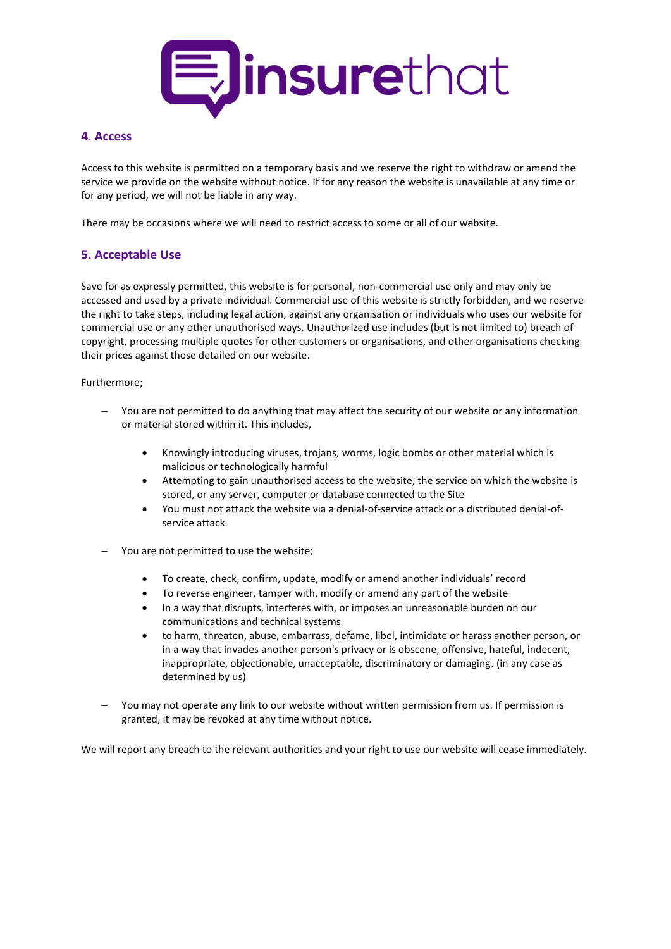

### **4. Access**

Access to this website is permitted on a temporary basis and we reserve the right to withdraw or amend the service we provide on the website without notice. If for any reason the website is unavailable at any time or for any period, we will not be liable in any way.

There may be occasions where we will need to restrict access to some or all of our website.

# <span id="page-1-0"></span>**5. Acceptable Use**

Save for as expressly permitted, this website is for personal, non-commercial use only and may only be accessed and used by a private individual. Commercial use of this website is strictly forbidden, and we reserve the right to take steps, including legal action, against any organisation or individuals who uses our website for commercial use or any other unauthorised ways. Unauthorized use includes (but is not limited to) breach of copyright, processing multiple quotes for other customers or organisations, and other organisations checking their prices against those detailed on our website.

Furthermore;

- You are not permitted to do anything that may affect the security of our website or any information or material stored within it. This includes,
	- Knowingly introducing viruses, trojans, worms, logic bombs or other material which is malicious or technologically harmful
	- Attempting to gain unauthorised access to the website, the service on which the website is stored, or any server, computer or database connected to the Site
	- You must not attack the website via a denial-of-service attack or a distributed denial-ofservice attack.
- You are not permitted to use the website;
	- To create, check, confirm, update, modify or amend another individuals' record
	- To reverse engineer, tamper with, modify or amend any part of the website
	- In a way that disrupts, interferes with, or imposes an unreasonable burden on our communications and technical systems
	- to harm, threaten, abuse, embarrass, defame, libel, intimidate or harass another person, or in a way that invades another person's privacy or is obscene, offensive, hateful, indecent, inappropriate, objectionable, unacceptable, discriminatory or damaging. (in any case as determined by us)
- You may not operate any link to our website without written permission from us. If permission is granted, it may be revoked at any time without notice.

We will report any breach to the relevant authorities and your right to use our website will cease immediately.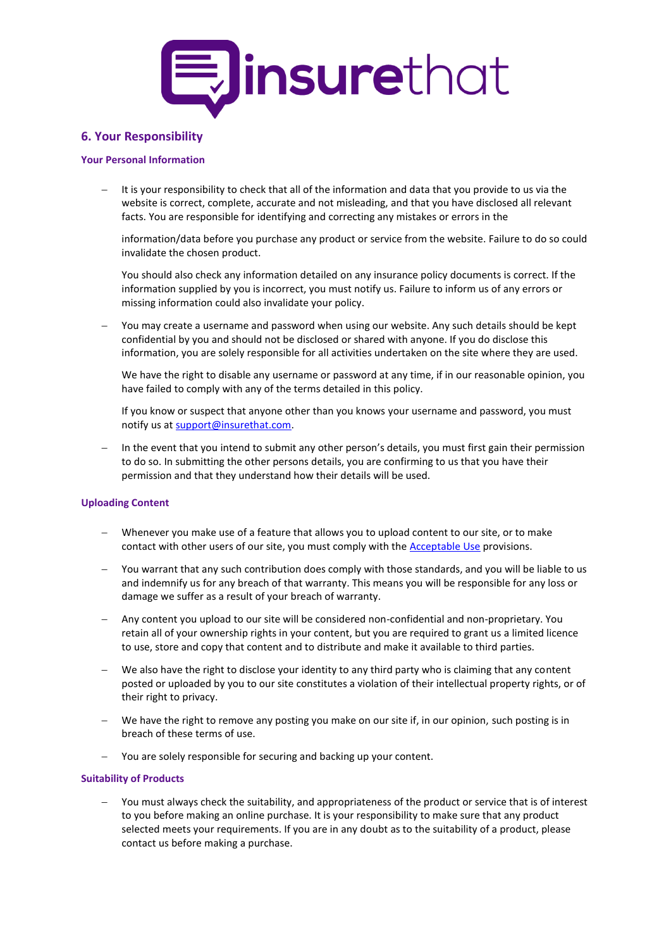

### **6. Your Responsibility**

#### **Your Personal Information**

 It is your responsibility to check that all of the information and data that you provide to us via the website is correct, complete, accurate and not misleading, and that you have disclosed all relevant facts. You are responsible for identifying and correcting any mistakes or errors in the

information/data before you purchase any product or service from the website. Failure to do so could invalidate the chosen product.

You should also check any information detailed on any insurance policy documents is correct. If the information supplied by you is incorrect, you must notify us. Failure to inform us of any errors or missing information could also invalidate your policy.

 You may create a username and password when using our website. Any such details should be kept confidential by you and should not be disclosed or shared with anyone. If you do disclose this information, you are solely responsible for all activities undertaken on the site where they are used.

We have the right to disable any username or password at any time, if in our reasonable opinion, you have failed to comply with any of the terms detailed in this policy.

If you know or suspect that anyone other than you knows your username and password, you must notify us at [support@insurethat.com.](mailto:support@insurethat.com)

 In the event that you intend to submit any other person's details, you must first gain their permission to do so. In submitting the other persons details, you are confirming to us that you have their permission and that they understand how their details will be used.

#### **Uploading Content**

- Whenever you make use of a feature that allows you to upload content to our site, or to make contact with other users of our site, you must comply with the **Acceptable Use** provisions.
- You warrant that any such contribution does comply with those standards, and you will be liable to us and indemnify us for any breach of that warranty. This means you will be responsible for any loss or damage we suffer as a result of your breach of warranty.
- Any content you upload to our site will be considered non-confidential and non-proprietary. You retain all of your ownership rights in your content, but you are required to grant us a limited licence to use, store and copy that content and to distribute and make it available to third parties.
- We also have the right to disclose your identity to any third party who is claiming that any content posted or uploaded by you to our site constitutes a violation of their intellectual property rights, or of their right to privacy.
- We have the right to remove any posting you make on our site if, in our opinion, such posting is in breach of these terms of use.
- You are solely responsible for securing and backing up your content.

#### **Suitability of Products**

 You must always check the suitability, and appropriateness of the product or service that is of interest to you before making an online purchase. It is your responsibility to make sure that any product selected meets your requirements. If you are in any doubt as to the suitability of a product, please contact us before making a purchase.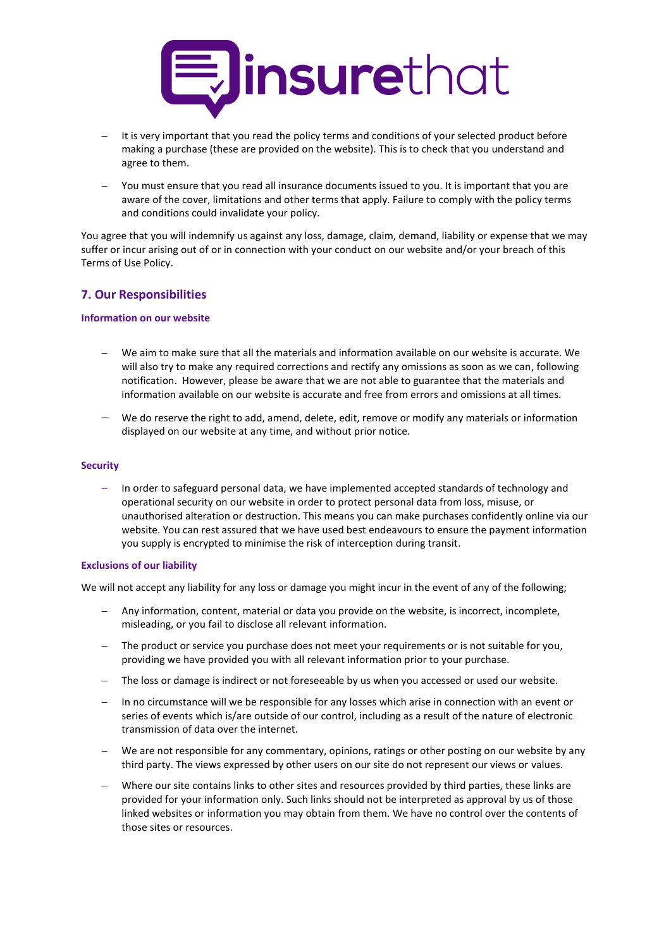

- It is very important that you read the policy terms and conditions of your selected product before making a purchase (these are provided on the website). This is to check that you understand and agree to them.
- You must ensure that you read all insurance documents issued to you. It is important that you are aware of the cover, limitations and other terms that apply. Failure to comply with the policy terms and conditions could invalidate your policy.

You agree that you will indemnify us against any loss, damage, claim, demand, liability or expense that we may suffer or incur arising out of or in connection with your conduct on our website and/or your breach of this Terms of Use Policy.

### **7. Our Responsibilities**

#### **Information on our website**

- We aim to make sure that all the materials and information available on our website is accurate. We will also try to make any required corrections and rectify any omissions as soon as we can, following notification. However, please be aware that we are not able to guarantee that the materials and information available on our website is accurate and free from errors and omissions at all times.
- We do reserve the right to add, amend, delete, edit, remove or modify any materials or information displayed on our website at any time, and without prior notice.

#### **Security**

 In order to safeguard personal data, we have implemented accepted standards of technology and operational security on our website in order to protect personal data from loss, misuse, or unauthorised alteration or destruction. This means you can make purchases confidently online via our website. You can rest assured that we have used best endeavours to ensure the payment information you supply is encrypted to minimise the risk of interception during transit.

#### **Exclusions of our liability**

We will not accept any liability for any loss or damage you might incur in the event of any of the following;

- Any information, content, material or data you provide on the website, is incorrect, incomplete, misleading, or you fail to disclose all relevant information.
- The product or service you purchase does not meet your requirements or is not suitable for you, providing we have provided you with all relevant information prior to your purchase.
- The loss or damage is indirect or not foreseeable by us when you accessed or used our website.
- In no circumstance will we be responsible for any losses which arise in connection with an event or series of events which is/are outside of our control, including as a result of the nature of electronic transmission of data over the internet.
- We are not responsible for any commentary, opinions, ratings or other posting on our website by any third party. The views expressed by other users on our site do not represent our views or values.
- Where our site contains links to other sites and resources provided by third parties, these links are provided for your information only. Such links should not be interpreted as approval by us of those linked websites or information you may obtain from them. We have no control over the contents of those sites or resources.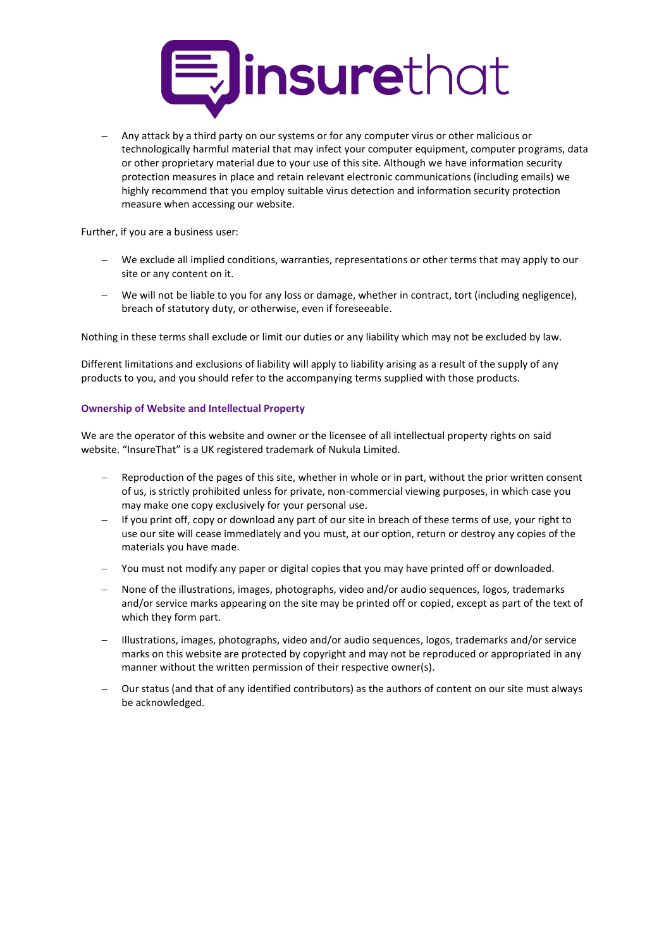

 Any attack by a third party on our systems or for any computer virus or other malicious or technologically harmful material that may infect your computer equipment, computer programs, data or other proprietary material due to your use of this site. Although we have information security protection measures in place and retain relevant electronic communications (including emails) we highly recommend that you employ suitable virus detection and information security protection measure when accessing our website.

Further, if you are a business user:

- We exclude all implied conditions, warranties, representations or other terms that may apply to our site or any content on it.
- We will not be liable to you for any loss or damage, whether in contract, tort (including negligence), breach of statutory duty, or otherwise, even if foreseeable.

Nothing in these terms shall exclude or limit our duties or any liability which may not be excluded by law.

Different limitations and exclusions of liability will apply to liability arising as a result of the supply of any products to you, and you should refer to the accompanying terms supplied with those products.

#### **Ownership of Website and Intellectual Property**

We are the operator of this website and owner or the licensee of all intellectual property rights on said website. "InsureThat" is a UK registered trademark of Nukula Limited.

- Reproduction of the pages of this site, whether in whole or in part, without the prior written consent of us, is strictly prohibited unless for private, non-commercial viewing purposes, in which case you may make one copy exclusively for your personal use.
- If you print off, copy or download any part of our site in breach of these terms of use, your right to use our site will cease immediately and you must, at our option, return or destroy any copies of the materials you have made.
- You must not modify any paper or digital copies that you may have printed off or downloaded.
- None of the illustrations, images, photographs, video and/or audio sequences, logos, trademarks and/or service marks appearing on the site may be printed off or copied, except as part of the text of which they form part.
- Illustrations, images, photographs, video and/or audio sequences, logos, trademarks and/or service marks on this website are protected by copyright and may not be reproduced or appropriated in any manner without the written permission of their respective owner(s).
- Our status (and that of any identified contributors) as the authors of content on our site must always be acknowledged.